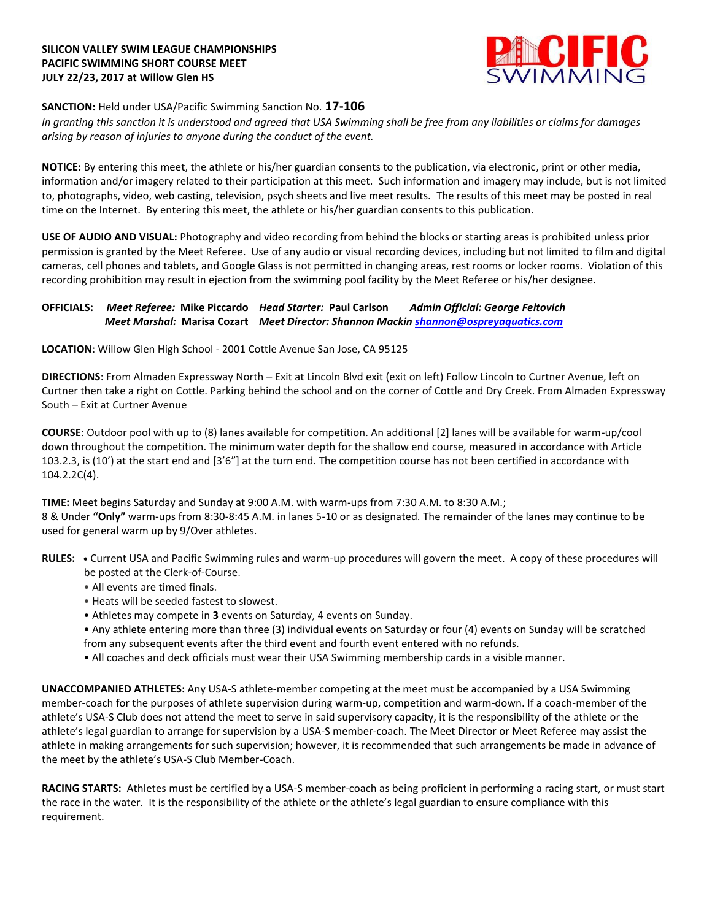### **SILICON VALLEY SWIM LEAGUE CHAMPIONSHIPS PACIFIC SWIMMING SHORT COURSE MEET JULY 22/23, 2017 at Willow Glen HS**



# **SANCTION:** Held under USA/Pacific Swimming Sanction No. **17-106**

*In granting this sanction it is understood and agreed that USA Swimming shall be free from any liabilities or claims for damages arising by reason of injuries to anyone during the conduct of the event.*

**NOTICE:** By entering this meet, the athlete or his/her guardian consents to the publication, via electronic, print or other media, information and/or imagery related to their participation at this meet. Such information and imagery may include, but is not limited to, photographs, video, web casting, television, psych sheets and live meet results. The results of this meet may be posted in real time on the Internet. By entering this meet, the athlete or his/her guardian consents to this publication.

**USE OF AUDIO AND VISUAL:** Photography and video recording from behind the blocks or starting areas is prohibited unless prior permission is granted by the Meet Referee. Use of any audio or visual recording devices, including but not limited to film and digital cameras, cell phones and tablets, and Google Glass is not permitted in changing areas, rest rooms or locker rooms. Violation of this recording prohibition may result in ejection from the swimming pool facility by the Meet Referee or his/her designee.

# **OFFICIALS:** *Meet Referee:* **Mike Piccardo** *Head Starter:* **Paul Carlson** *Admin Official: George Feltovich Meet Marshal:* **Marisa Cozart** *Meet Director: Shannon Mackin [shannon@ospreyaquatics.com](mailto:shannon@ospreyaquatics.com)*

**LOCATION**: Willow Glen High School - 2001 Cottle Avenue San Jose, CA 95125

**DIRECTIONS**: From Almaden Expressway North – Exit at Lincoln Blvd exit (exit on left) Follow Lincoln to Curtner Avenue, left on Curtner then take a right on Cottle. Parking behind the school and on the corner of Cottle and Dry Creek. From Almaden Expressway South – Exit at Curtner Avenue

**COURSE**: Outdoor pool with up to (8) lanes available for competition. An additional [2] lanes will be available for warm-up/cool down throughout the competition. The minimum water depth for the shallow end course, measured in accordance with Article 103.2.3, is (10') at the start end and [3'6"] at the turn end. The competition course has not been certified in accordance with 104.2.2C(4).

### **TIME:** Meet begins Saturday and Sunday at 9:00 A.M. with warm-ups from 7:30 A.M. to 8:30 A.M.;

8 & Under **"Only"** warm-ups from 8:30-8:45 A.M. in lanes 5-10 or as designated. The remainder of the lanes may continue to be used for general warm up by 9/Over athletes.

- **RULES: •** Current USA and Pacific Swimming rules and warm-up procedures will govern the meet. A copy of these procedures will be posted at the Clerk-of-Course.
	- All events are timed finals.
	- Heats will be seeded fastest to slowest.
	- Athletes may compete in **3** events on Saturday, 4 events on Sunday.
	- Any athlete entering more than three (3) individual events on Saturday or four (4) events on Sunday will be scratched from any subsequent events after the third event and fourth event entered with no refunds.
	- All coaches and deck officials must wear their USA Swimming membership cards in a visible manner.

**UNACCOMPANIED ATHLETES:** Any USA-S athlete-member competing at the meet must be accompanied by a USA Swimming member-coach for the purposes of athlete supervision during warm-up, competition and warm-down. If a coach-member of the athlete's USA-S Club does not attend the meet to serve in said supervisory capacity, it is the responsibility of the athlete or the athlete's legal guardian to arrange for supervision by a USA-S member-coach. The Meet Director or Meet Referee may assist the athlete in making arrangements for such supervision; however, it is recommended that such arrangements be made in advance of the meet by the athlete's USA-S Club Member-Coach.

**RACING STARTS:** Athletes must be certified by a USA-S member-coach as being proficient in performing a racing start, or must start the race in the water. It is the responsibility of the athlete or the athlete's legal guardian to ensure compliance with this requirement.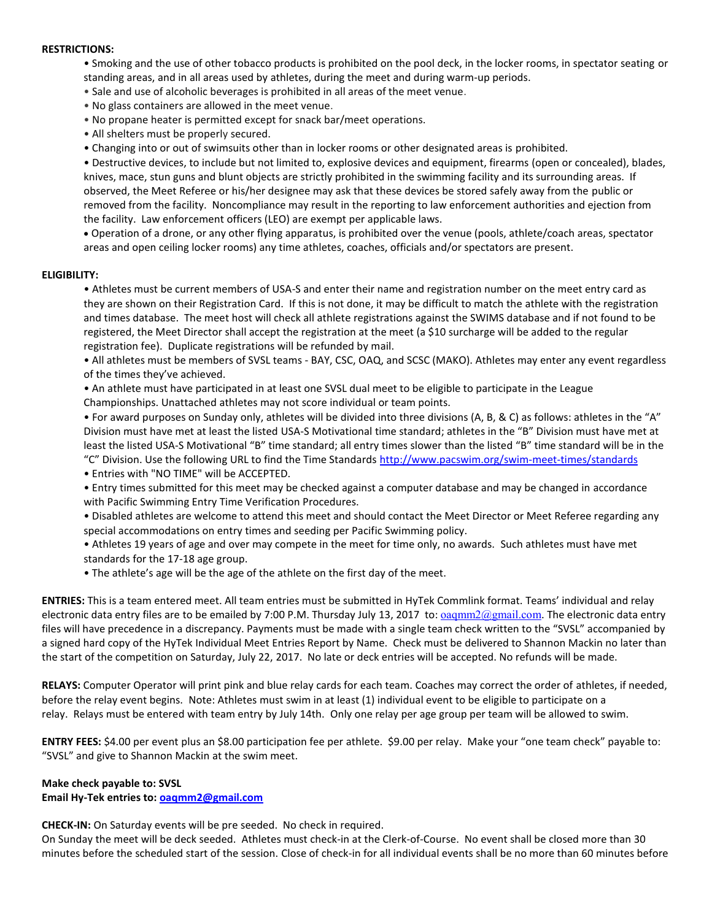#### **RESTRICTIONS:**

- Smoking and the use of other tobacco products is prohibited on the pool deck, in the locker rooms, in spectator seating or standing areas, and in all areas used by athletes, during the meet and during warm-up periods.
- Sale and use of alcoholic beverages is prohibited in all areas of the meet venue.
- No glass containers are allowed in the meet venue.
- No propane heater is permitted except for snack bar/meet operations.
- All shelters must be properly secured.
- Changing into or out of swimsuits other than in locker rooms or other designated areas is prohibited.

• Destructive devices, to include but not limited to, explosive devices and equipment, firearms (open or concealed), blades, knives, mace, stun guns and blunt objects are strictly prohibited in the swimming facility and its surrounding areas. If observed, the Meet Referee or his/her designee may ask that these devices be stored safely away from the public or removed from the facility. Noncompliance may result in the reporting to law enforcement authorities and ejection from the facility. Law enforcement officers (LEO) are exempt per applicable laws.

 Operation of a drone, or any other flying apparatus, is prohibited over the venue (pools, athlete/coach areas, spectator areas and open ceiling locker rooms) any time athletes, coaches, officials and/or spectators are present.

#### **ELIGIBILITY:**

• Athletes must be current members of USA-S and enter their name and registration number on the meet entry card as they are shown on their Registration Card. If this is not done, it may be difficult to match the athlete with the registration and times database. The meet host will check all athlete registrations against the SWIMS database and if not found to be registered, the Meet Director shall accept the registration at the meet (a \$10 surcharge will be added to the regular registration fee). Duplicate registrations will be refunded by mail.

• All athletes must be members of SVSL teams - BAY, CSC, OAQ, and SCSC (MAKO). Athletes may enter any event regardless of the times they've achieved.

• An athlete must have participated in at least one SVSL dual meet to be eligible to participate in the League

Championships. Unattached athletes may not score individual or team points.

• For award purposes on Sunday only, athletes will be divided into three divisions (A, B, & C) as follows: athletes in the "A" Division must have met at least the listed USA-S Motivational time standard; athletes in the "B" Division must have met at least the listed USA-S Motivational "B" time standard; all entry times slower than the listed "B" time standard will be in the "C" Division. Use the following URL to find the Time Standards <http://www.pacswim.org/swim-meet-times/standards>

- Entries with "NO TIME" will be ACCEPTED.
- Entry times submitted for this meet may be checked against a computer database and may be changed in accordance with Pacific Swimming Entry Time Verification Procedures.
- Disabled athletes are welcome to attend this meet and should contact the Meet Director or Meet Referee regarding any special accommodations on entry times and seeding per Pacific Swimming policy.
- Athletes 19 years of age and over may compete in the meet for time only, no awards. Such athletes must have met standards for the 17-18 age group.
- The athlete's age will be the age of the athlete on the first day of the meet.

**ENTRIES:** This is a team entered meet. All team entries must be submitted in HyTek Commlink format. Teams' individual and relay electronic data entry files are to be emailed by 7:00 P.M. Thursday July 13, 2017 to:  $oagmm2@gmail.com$ . The electronic data entry files will have precedence in a discrepancy. Payments must be made with a single team check written to the "SVSL" accompanied by a signed hard copy of the HyTek Individual Meet Entries Report by Name. Check must be delivered to Shannon Mackin no later than the start of the competition on Saturday, July 22, 2017. No late or deck entries will be accepted. No refunds will be made.

**RELAYS:** Computer Operator will print pink and blue relay cards for each team. Coaches may correct the order of athletes, if needed, before the relay event begins. Note: Athletes must swim in at least (1) individual event to be eligible to participate on a relay. Relays must be entered with team entry by July 14th. Only one relay per age group per team will be allowed to swim.

**ENTRY FEES:** \$4.00 per event plus an \$8.00 participation fee per athlete. \$9.00 per relay. Make your "one team check" payable to: "SVSL" and give to Shannon Mackin at the swim meet.

### **Make check payable to: SVSL**

### **Email Hy-Tek entries to: [oaqmm2@gmail.com](mailto:oaqmm2@gmail.com)**

**CHECK-IN:** On Saturday events will be pre seeded. No check in required.

On Sunday the meet will be deck seeded. Athletes must check-in at the Clerk-of-Course. No event shall be closed more than 30 minutes before the scheduled start of the session. Close of check-in for all individual events shall be no more than 60 minutes before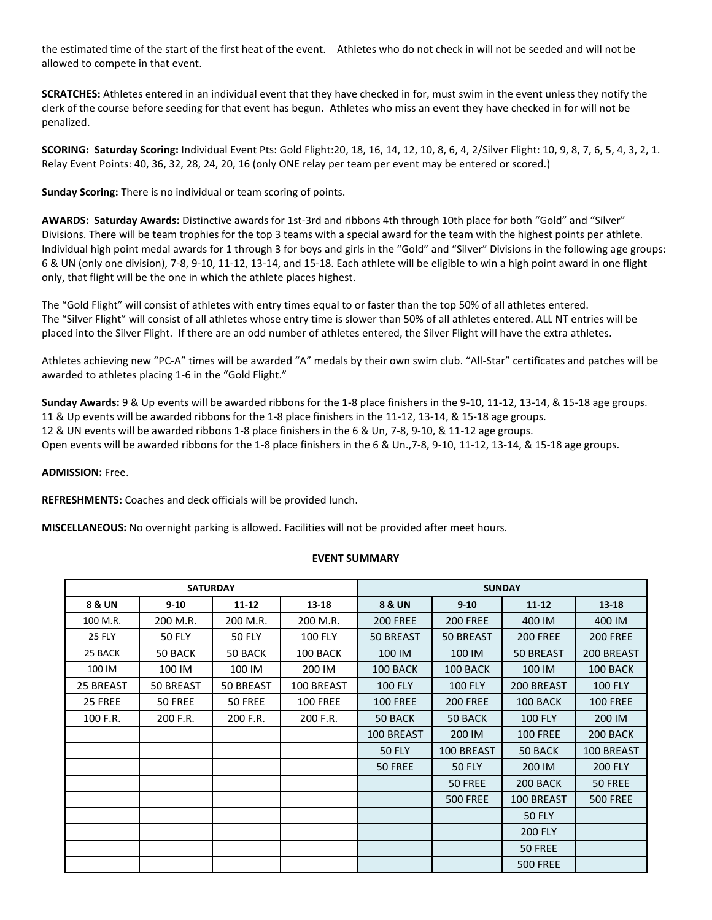the estimated time of the start of the first heat of the event. Athletes who do not check in will not be seeded and will not be allowed to compete in that event.

**SCRATCHES:** Athletes entered in an individual event that they have checked in for, must swim in the event unless they notify the clerk of the course before seeding for that event has begun. Athletes who miss an event they have checked in for will not be penalized.

**SCORING: Saturday Scoring:** Individual Event Pts: Gold Flight:20, 18, 16, 14, 12, 10, 8, 6, 4, 2/Silver Flight: 10, 9, 8, 7, 6, 5, 4, 3, 2, 1. Relay Event Points: 40, 36, 32, 28, 24, 20, 16 (only ONE relay per team per event may be entered or scored.)

**Sunday Scoring:** There is no individual or team scoring of points.

**AWARDS: Saturday Awards:** Distinctive awards for 1st-3rd and ribbons 4th through 10th place for both "Gold" and "Silver" Divisions. There will be team trophies for the top 3 teams with a special award for the team with the highest points per athlete. Individual high point medal awards for 1 through 3 for boys and girls in the "Gold" and "Silver" Divisions in the following age groups: 6 & UN (only one division), 7-8, 9-10, 11-12, 13-14, and 15-18. Each athlete will be eligible to win a high point award in one flight only, that flight will be the one in which the athlete places highest.

The "Gold Flight" will consist of athletes with entry times equal to or faster than the top 50% of all athletes entered. The "Silver Flight" will consist of all athletes whose entry time is slower than 50% of all athletes entered. ALL NT entries will be placed into the Silver Flight. If there are an odd number of athletes entered, the Silver Flight will have the extra athletes.

Athletes achieving new "PC-A" times will be awarded "A" medals by their own swim club. "All-Star" certificates and patches will be awarded to athletes placing 1-6 in the "Gold Flight."

**Sunday Awards:** 9 & Up events will be awarded ribbons for the 1-8 place finishers in the 9-10, 11-12, 13-14, & 15-18 age groups. 11 & Up events will be awarded ribbons for the 1-8 place finishers in the 11-12, 13-14, & 15-18 age groups. 12 & UN events will be awarded ribbons 1-8 place finishers in the 6 & Un, 7-8, 9-10, & 11-12 age groups. Open events will be awarded ribbons for the 1-8 place finishers in the 6 & Un.,7-8, 9-10, 11-12, 13-14, & 15-18 age groups.

**ADMISSION:** Free.

**REFRESHMENTS:** Coaches and deck officials will be provided lunch.

**MISCELLANEOUS:** No overnight parking is allowed. Facilities will not be provided after meet hours.

| EVENT SUMMARY |  |  |  |
|---------------|--|--|--|
|               |  |  |  |

| <b>SATURDAY</b>   |               |               | <b>SUNDAY</b>   |                 |                 |                 |                 |
|-------------------|---------------|---------------|-----------------|-----------------|-----------------|-----------------|-----------------|
| <b>8 &amp; UN</b> | $9 - 10$      | $11 - 12$     | 13-18           | 8 & UN          | $9 - 10$        | $11 - 12$       | $13 - 18$       |
| 100 M.R.          | 200 M.R.      | 200 M.R.      | 200 M.R.        | <b>200 FREE</b> | <b>200 FREE</b> | 400 IM          | 400 IM          |
| <b>25 FLY</b>     | <b>50 FLY</b> | <b>50 FLY</b> | <b>100 FLY</b>  | 50 BREAST       | 50 BREAST       | <b>200 FREE</b> | <b>200 FREE</b> |
| 25 BACK           | 50 BACK       | 50 BACK       | 100 BACK        | 100 IM          | 100 IM          | 50 BREAST       | 200 BREAST      |
| 100 IM            | 100 IM        | 100 IM        | 200 IM          | 100 BACK        | 100 BACK        | 100 IM          | 100 BACK        |
| 25 BREAST         | 50 BREAST     | 50 BREAST     | 100 BREAST      | <b>100 FLY</b>  | <b>100 FLY</b>  | 200 BREAST      | <b>100 FLY</b>  |
| 25 FREE           | 50 FREE       | 50 FREE       | <b>100 FREE</b> | <b>100 FREE</b> | <b>200 FREE</b> | 100 BACK        | <b>100 FREE</b> |
| 100 F.R.          | 200 F.R.      | 200 F.R.      | 200 F.R.        | 50 BACK         | 50 BACK         | <b>100 FLY</b>  | 200 IM          |
|                   |               |               |                 | 100 BREAST      | 200 IM          | <b>100 FREE</b> | 200 BACK        |
|                   |               |               |                 | <b>50 FLY</b>   | 100 BREAST      | 50 BACK         | 100 BREAST      |
|                   |               |               |                 | <b>50 FREE</b>  | <b>50 FLY</b>   | 200 IM          | <b>200 FLY</b>  |
|                   |               |               |                 |                 | 50 FREE         | 200 BACK        | 50 FREE         |
|                   |               |               |                 |                 | <b>500 FREE</b> | 100 BREAST      | <b>500 FREE</b> |
|                   |               |               |                 |                 |                 | <b>50 FLY</b>   |                 |
|                   |               |               |                 |                 |                 | <b>200 FLY</b>  |                 |
|                   |               |               |                 |                 |                 | 50 FREE         |                 |
|                   |               |               |                 |                 |                 | <b>500 FREE</b> |                 |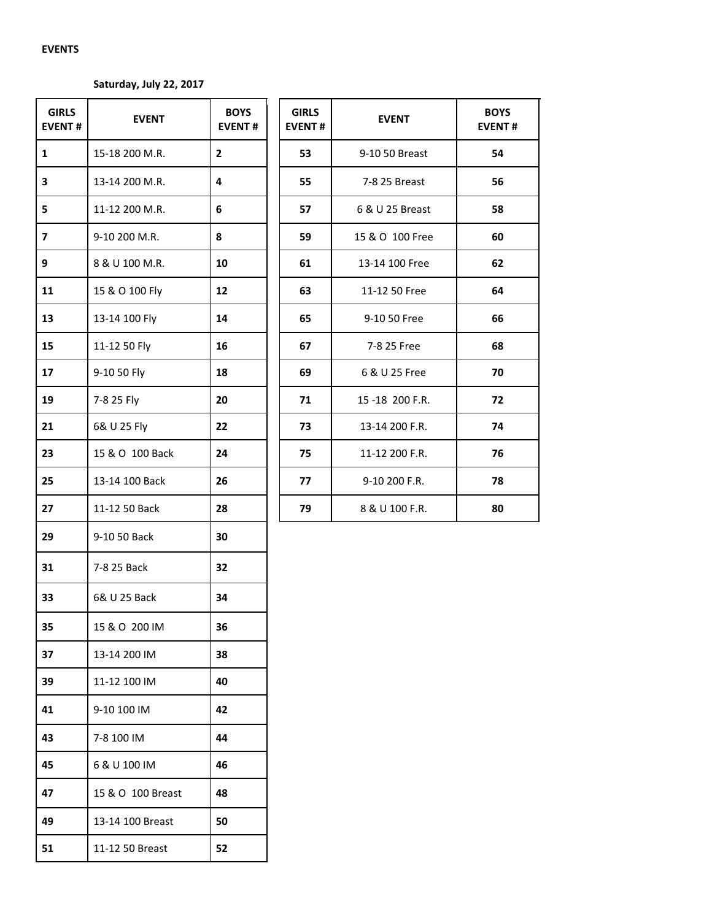## **EVENTS**

# **Saturday, July 22, 2017**

| <b>GIRLS</b><br><b>EVENT#</b> | <b>EVENT</b>      | <b>BOYS</b><br><b>EVENT#</b> |
|-------------------------------|-------------------|------------------------------|
| 1                             | 15-18 200 M.R.    | 2                            |
| 3                             | 13-14 200 M.R.    | 4                            |
| 5                             | 11-12 200 M.R.    | 6                            |
| 7                             | 9-10 200 M.R.     | 8                            |
| 9                             | 8 & U 100 M.R.    | 10                           |
| 11                            | 15 & O 100 Fly    | 12                           |
| 13                            | 13-14 100 Fly     | 14                           |
| 15                            | 11-12 50 Fly      | 16                           |
| 17                            | 9-10 50 Fly       | 18                           |
| 19                            | 7-8 25 Fly        | 20                           |
| 21                            | 6& U 25 Fly       | 22                           |
| 23                            | 15 & O 100 Back   | 24                           |
| 25                            | 13-14 100 Back    | 26                           |
| 27                            | 11-12 50 Back     | 28                           |
| 29                            | 9-10 50 Back      | 30                           |
| 31                            | 7-8 25 Back       | 32                           |
| 33                            | 6& U 25 Back      | 34                           |
| 35                            | 15 & O 200 IM     | 36                           |
| 37                            | 13-14 200 IM      | 38                           |
| 39                            | 11-12 100 IM      | 40                           |
| 41                            | 9-10 100 IM       | 42                           |
| 43                            | 7-8 100 IM        | 44                           |
| 45                            | 6 & U 100 IM      | 46                           |
| 47                            | 15 & O 100 Breast | 48                           |
| 49                            | 13-14 100 Breast  | 50                           |
| 51                            | 11-12 50 Breast   | 52                           |

| <b>EVENT</b>    | <b>BOYS</b><br><b>EVENT#</b> | <b>GIRLS</b><br><b>EVENT#</b> | <b>EVENT</b>    | <b>BOYS</b><br><b>EVENT#</b> |
|-----------------|------------------------------|-------------------------------|-----------------|------------------------------|
| 15-18 200 M.R.  | 2                            | 53                            | 9-10 50 Breast  | 54                           |
| 13-14 200 M.R.  | 4                            | 55                            | 7-8 25 Breast   | 56                           |
| 11-12 200 M.R.  | 6                            | 57                            | 6 & U 25 Breast | 58                           |
| 9-10 200 M.R.   | 8                            | 59                            | 15 & O 100 Free | 60                           |
| 8 & U 100 M.R.  | 10                           | 61                            | 13-14 100 Free  | 62                           |
| 15 & O 100 Fly  | 12                           | 63                            | 11-12 50 Free   | 64                           |
| 13-14 100 Fly   | 14                           | 65                            | 9-10 50 Free    | 66                           |
| 11-12 50 Fly    | 16                           | 67                            | 7-8 25 Free     | 68                           |
| 9-10 50 Fly     | 18                           | 69                            | 6 & U 25 Free   | 70                           |
| 7-8 25 Fly      | 20                           | 71                            | 15-18 200 F.R.  | 72                           |
| 6& U 25 Fly     | 22                           | 73                            | 13-14 200 F.R.  | 74                           |
| 15 & O 100 Back | 24                           | 75                            | 11-12 200 F.R.  | 76                           |
| 13-14 100 Back  | 26                           | 77                            | 9-10 200 F.R.   | 78                           |
| 11-12 50 Back   | 28                           | 79                            | 8 & U 100 F.R.  | 80                           |
|                 |                              |                               |                 |                              |